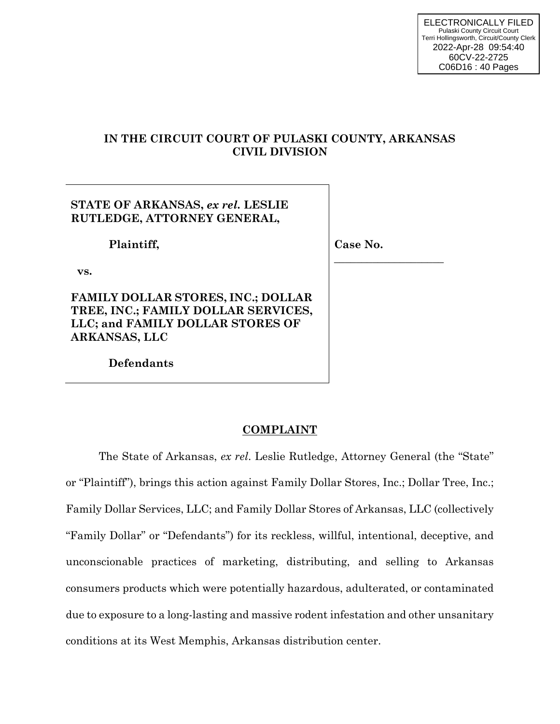# **IN THE CIRCUIT COURT OF PULASKI COUNTY, ARKANSAS CIVIL DIVISION**

| STATE OF ARKANSAS, ex rel. LESLIE<br>RUTLEDGE, ATTORNEY GENERAL,                                                                      |          |
|---------------------------------------------------------------------------------------------------------------------------------------|----------|
| Plaintiff,                                                                                                                            | Case No. |
| VS.                                                                                                                                   |          |
| <b>FAMILY DOLLAR STORES, INC.; DOLLAR</b><br>TREE, INC.; FAMILY DOLLAR SERVICES,<br>LLC; and FAMILY DOLLAR STORES OF<br>ARKANSAS, LLC |          |
| $\mathbf{D}_{\alpha} \mathbf{f}_{\alpha}$ and $\mathbf{f}_{\alpha}$                                                                   |          |

 **Defendants** 

# **COMPLAINT**

The State of Arkansas, *ex rel*. Leslie Rutledge, Attorney General (the "State" or "Plaintiff"), brings this action against Family Dollar Stores, Inc.; Dollar Tree, Inc.; Family Dollar Services, LLC; and Family Dollar Stores of Arkansas, LLC (collectively "Family Dollar" or "Defendants") for its reckless, willful, intentional, deceptive, and unconscionable practices of marketing, distributing, and selling to Arkansas consumers products which were potentially hazardous, adulterated, or contaminated due to exposure to a long-lasting and massive rodent infestation and other unsanitary conditions at its West Memphis, Arkansas distribution center.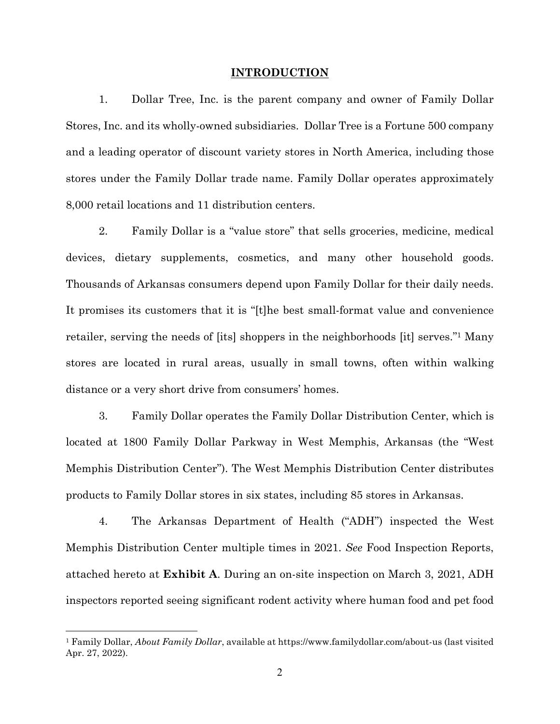#### **INTRODUCTION**

1. Dollar Tree, Inc. is the parent company and owner of Family Dollar Stores, Inc. and its wholly-owned subsidiaries. Dollar Tree is a Fortune 500 company and a leading operator of discount variety stores in North America, including those stores under the Family Dollar trade name. Family Dollar operates approximately 8,000 retail locations and 11 distribution centers.

2. Family Dollar is a "value store" that sells groceries, medicine, medical devices, dietary supplements, cosmetics, and many other household goods. Thousands of Arkansas consumers depend upon Family Dollar for their daily needs. It promises its customers that it is "[t]he best small-format value and convenience retailer, serving the needs of [its] shoppers in the neighborhoods [it] serves."1 Many stores are located in rural areas, usually in small towns, often within walking distance or a very short drive from consumers' homes.

3. Family Dollar operates the Family Dollar Distribution Center, which is located at 1800 Family Dollar Parkway in West Memphis, Arkansas (the "West Memphis Distribution Center"). The West Memphis Distribution Center distributes products to Family Dollar stores in six states, including 85 stores in Arkansas.

4. The Arkansas Department of Health ("ADH") inspected the West Memphis Distribution Center multiple times in 2021. *See* Food Inspection Reports, attached hereto at **Exhibit A**. During an on-site inspection on March 3, 2021, ADH inspectors reported seeing significant rodent activity where human food and pet food

<sup>1</sup> Family Dollar, *About Family Dollar*, available at https://www.familydollar.com/about-us (last visited Apr. 27, 2022).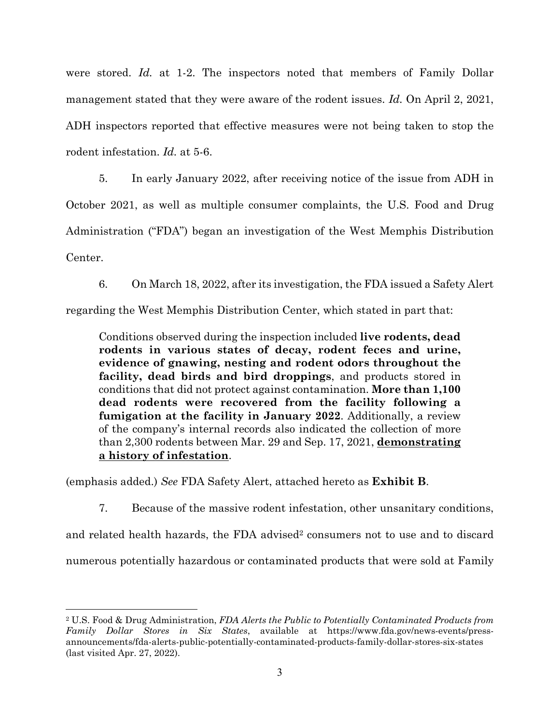were stored. *Id.* at 1-2. The inspectors noted that members of Family Dollar management stated that they were aware of the rodent issues. *Id.* On April 2, 2021, ADH inspectors reported that effective measures were not being taken to stop the rodent infestation. *Id.* at 5-6.

5. In early January 2022, after receiving notice of the issue from ADH in October 2021, as well as multiple consumer complaints, the U.S. Food and Drug Administration ("FDA") began an investigation of the West Memphis Distribution Center.

6. On March 18, 2022, after its investigation, the FDA issued a Safety Alert

regarding the West Memphis Distribution Center, which stated in part that:

Conditions observed during the inspection included **live rodents, dead rodents in various states of decay, rodent feces and urine, evidence of gnawing, nesting and rodent odors throughout the facility, dead birds and bird droppings**, and products stored in conditions that did not protect against contamination. **More than 1,100 dead rodents were recovered from the facility following a fumigation at the facility in January 2022**. Additionally, a review of the company's internal records also indicated the collection of more than 2,300 rodents between Mar. 29 and Sep. 17, 2021, **demonstrating a history of infestation**.

(emphasis added.) *See* FDA Safety Alert, attached hereto as **Exhibit B**.

7. Because of the massive rodent infestation, other unsanitary conditions,

and related health hazards, the FDA advised<sup>2</sup> consumers not to use and to discard numerous potentially hazardous or contaminated products that were sold at Family

<sup>2</sup> U.S. Food & Drug Administration, *FDA Alerts the Public to Potentially Contaminated Products from Family Dollar Stores in Six States*, available at https://www.fda.gov/news-events/pressannouncements/fda-alerts-public-potentially-contaminated-products-family-dollar-stores-six-states (last visited Apr. 27, 2022).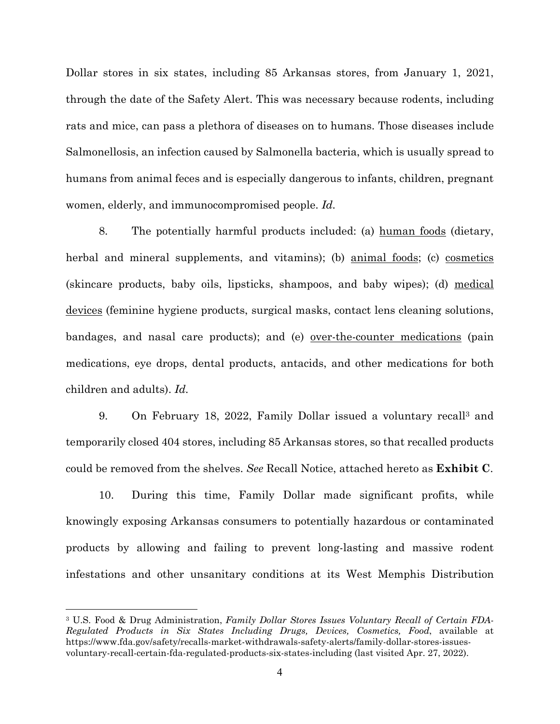Dollar stores in six states, including 85 Arkansas stores, from January 1, 2021, through the date of the Safety Alert. This was necessary because rodents, including rats and mice, can pass a plethora of diseases on to humans. Those diseases include Salmonellosis, an infection caused by Salmonella bacteria, which is usually spread to humans from animal feces and is especially dangerous to infants, children, pregnant women, elderly, and immunocompromised people. *Id.*

8. The potentially harmful products included: (a) human foods (dietary, herbal and mineral supplements, and vitamins); (b) animal foods; (c) cosmetics (skincare products, baby oils, lipsticks, shampoos, and baby wipes); (d) medical devices (feminine hygiene products, surgical masks, contact lens cleaning solutions, bandages, and nasal care products); and (e) over-the-counter medications (pain medications, eye drops, dental products, antacids, and other medications for both children and adults). *Id.*

9. On February 18, 2022, Family Dollar issued a voluntary recall3 and temporarily closed 404 stores, including 85 Arkansas stores, so that recalled products could be removed from the shelves. *See* Recall Notice, attached hereto as **Exhibit C**.

10. During this time, Family Dollar made significant profits, while knowingly exposing Arkansas consumers to potentially hazardous or contaminated products by allowing and failing to prevent long-lasting and massive rodent infestations and other unsanitary conditions at its West Memphis Distribution

<sup>3</sup> U.S. Food & Drug Administration, *Family Dollar Stores Issues Voluntary Recall of Certain FDA-Regulated Products in Six States Including Drugs, Devices, Cosmetics, Food*, available at https://www.fda.gov/safety/recalls-market-withdrawals-safety-alerts/family-dollar-stores-issuesvoluntary-recall-certain-fda-regulated-products-six-states-including (last visited Apr. 27, 2022).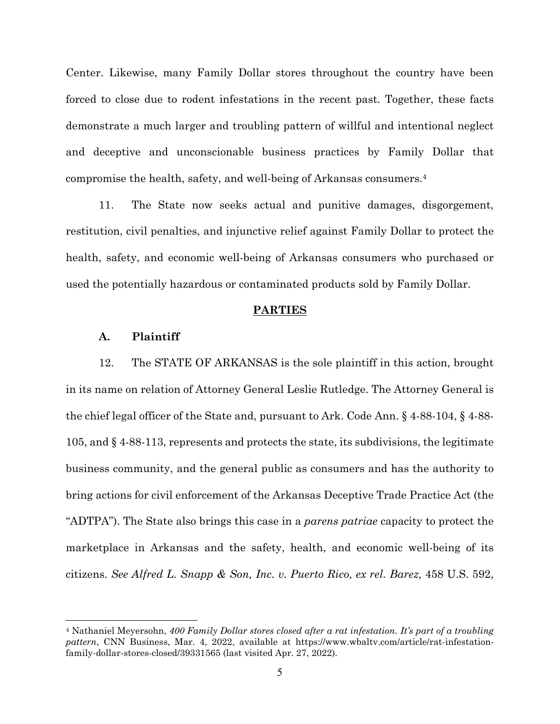Center. Likewise, many Family Dollar stores throughout the country have been forced to close due to rodent infestations in the recent past. Together, these facts demonstrate a much larger and troubling pattern of willful and intentional neglect and deceptive and unconscionable business practices by Family Dollar that compromise the health, safety, and well-being of Arkansas consumers.4

11. The State now seeks actual and punitive damages, disgorgement, restitution, civil penalties, and injunctive relief against Family Dollar to protect the health, safety, and economic well-being of Arkansas consumers who purchased or used the potentially hazardous or contaminated products sold by Family Dollar.

#### **PARTIES**

## **A. Plaintiff**

12. The STATE OF ARKANSAS is the sole plaintiff in this action, brought in its name on relation of Attorney General Leslie Rutledge. The Attorney General is the chief legal officer of the State and, pursuant to Ark. Code Ann. § 4-88-104, § 4-88- 105, and § 4-88-113, represents and protects the state, its subdivisions, the legitimate business community, and the general public as consumers and has the authority to bring actions for civil enforcement of the Arkansas Deceptive Trade Practice Act (the "ADTPA"). The State also brings this case in a *parens patriae* capacity to protect the marketplace in Arkansas and the safety, health, and economic well-being of its citizens. *See Alfred L. Snapp & Son, Inc. v. Puerto Rico, ex rel. Barez,* 458 U.S. 592,

<sup>4</sup> Nathaniel Meyersohn, *400 Family Dollar stores closed after a rat infestation. It's part of a troubling pattern*, CNN Business, Mar. 4, 2022, available at https://www.wbaltv.com/article/rat-infestationfamily-dollar-stores-closed/39331565 (last visited Apr. 27, 2022).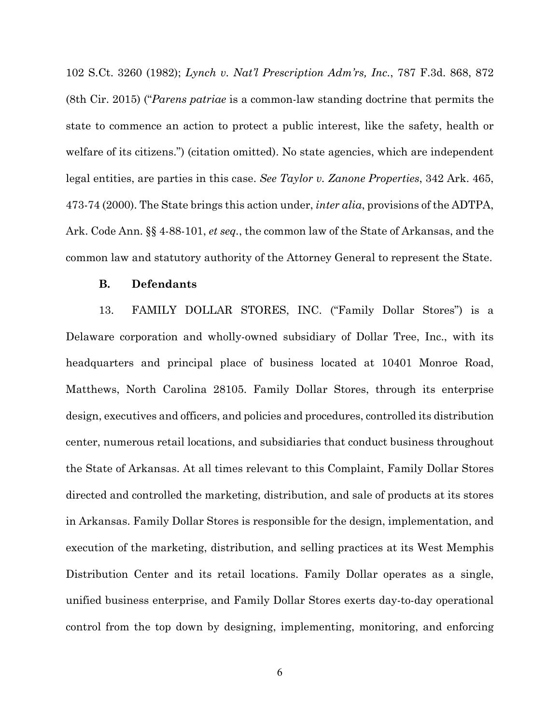102 S.Ct. 3260 (1982); *Lynch v. Nat'l Prescription Adm'rs, Inc.*, 787 F.3d. 868, 872 (8th Cir. 2015) ("*Parens patriae* is a common-law standing doctrine that permits the state to commence an action to protect a public interest, like the safety, health or welfare of its citizens.") (citation omitted). No state agencies, which are independent legal entities, are parties in this case. *See Taylor v. Zanone Properties*, 342 Ark. 465, 473-74 (2000). The State brings this action under, *inter alia*, provisions of the ADTPA, Ark. Code Ann. §§ 4-88-101, *et seq.*, the common law of the State of Arkansas, and the common law and statutory authority of the Attorney General to represent the State.

### **B. Defendants**

13. FAMILY DOLLAR STORES, INC. ("Family Dollar Stores") is a Delaware corporation and wholly-owned subsidiary of Dollar Tree, Inc., with its headquarters and principal place of business located at 10401 Monroe Road, Matthews, North Carolina 28105. Family Dollar Stores, through its enterprise design, executives and officers, and policies and procedures, controlled its distribution center, numerous retail locations, and subsidiaries that conduct business throughout the State of Arkansas. At all times relevant to this Complaint, Family Dollar Stores directed and controlled the marketing, distribution, and sale of products at its stores in Arkansas. Family Dollar Stores is responsible for the design, implementation, and execution of the marketing, distribution, and selling practices at its West Memphis Distribution Center and its retail locations. Family Dollar operates as a single, unified business enterprise, and Family Dollar Stores exerts day-to-day operational control from the top down by designing, implementing, monitoring, and enforcing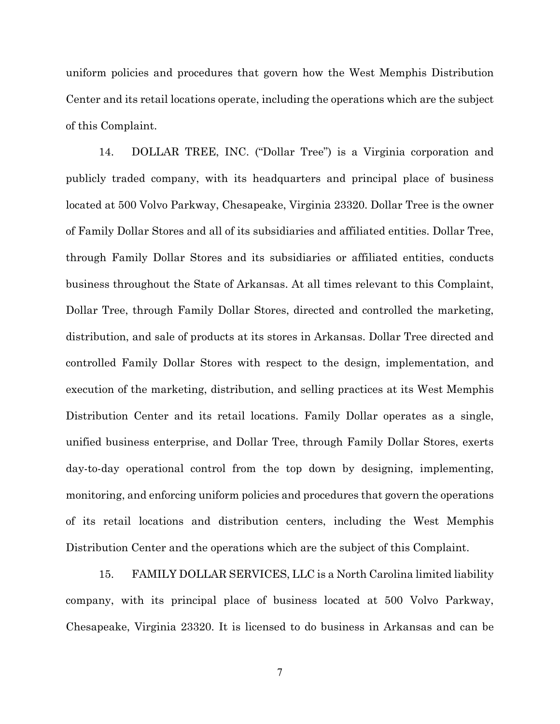uniform policies and procedures that govern how the West Memphis Distribution Center and its retail locations operate, including the operations which are the subject of this Complaint.

14. DOLLAR TREE, INC. ("Dollar Tree") is a Virginia corporation and publicly traded company, with its headquarters and principal place of business located at 500 Volvo Parkway, Chesapeake, Virginia 23320. Dollar Tree is the owner of Family Dollar Stores and all of its subsidiaries and affiliated entities. Dollar Tree, through Family Dollar Stores and its subsidiaries or affiliated entities, conducts business throughout the State of Arkansas. At all times relevant to this Complaint, Dollar Tree, through Family Dollar Stores, directed and controlled the marketing, distribution, and sale of products at its stores in Arkansas. Dollar Tree directed and controlled Family Dollar Stores with respect to the design, implementation, and execution of the marketing, distribution, and selling practices at its West Memphis Distribution Center and its retail locations. Family Dollar operates as a single, unified business enterprise, and Dollar Tree, through Family Dollar Stores, exerts day-to-day operational control from the top down by designing, implementing, monitoring, and enforcing uniform policies and procedures that govern the operations of its retail locations and distribution centers, including the West Memphis Distribution Center and the operations which are the subject of this Complaint.

15. FAMILY DOLLAR SERVICES, LLC is a North Carolina limited liability company, with its principal place of business located at 500 Volvo Parkway, Chesapeake, Virginia 23320. It is licensed to do business in Arkansas and can be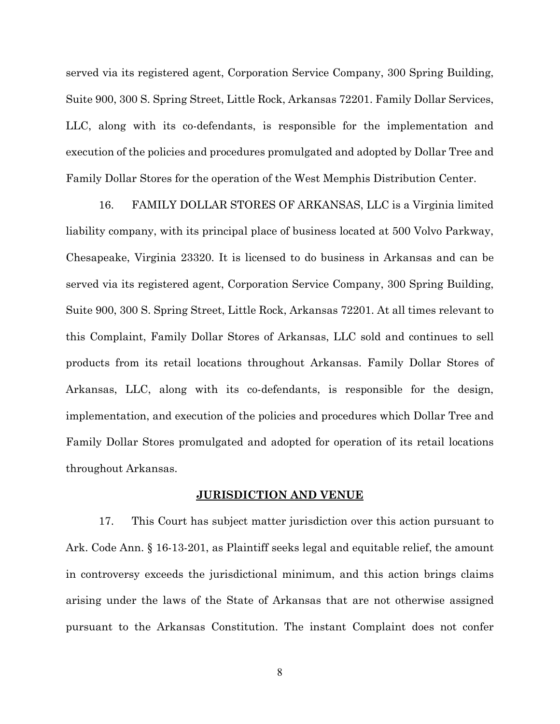served via its registered agent, Corporation Service Company, 300 Spring Building, Suite 900, 300 S. Spring Street, Little Rock, Arkansas 72201. Family Dollar Services, LLC, along with its co-defendants, is responsible for the implementation and execution of the policies and procedures promulgated and adopted by Dollar Tree and Family Dollar Stores for the operation of the West Memphis Distribution Center.

16. FAMILY DOLLAR STORES OF ARKANSAS, LLC is a Virginia limited liability company, with its principal place of business located at 500 Volvo Parkway, Chesapeake, Virginia 23320. It is licensed to do business in Arkansas and can be served via its registered agent, Corporation Service Company, 300 Spring Building, Suite 900, 300 S. Spring Street, Little Rock, Arkansas 72201. At all times relevant to this Complaint, Family Dollar Stores of Arkansas, LLC sold and continues to sell products from its retail locations throughout Arkansas. Family Dollar Stores of Arkansas, LLC, along with its co-defendants, is responsible for the design, implementation, and execution of the policies and procedures which Dollar Tree and Family Dollar Stores promulgated and adopted for operation of its retail locations throughout Arkansas.

## **JURISDICTION AND VENUE**

17. This Court has subject matter jurisdiction over this action pursuant to Ark. Code Ann. § 16-13-201, as Plaintiff seeks legal and equitable relief, the amount in controversy exceeds the jurisdictional minimum, and this action brings claims arising under the laws of the State of Arkansas that are not otherwise assigned pursuant to the Arkansas Constitution. The instant Complaint does not confer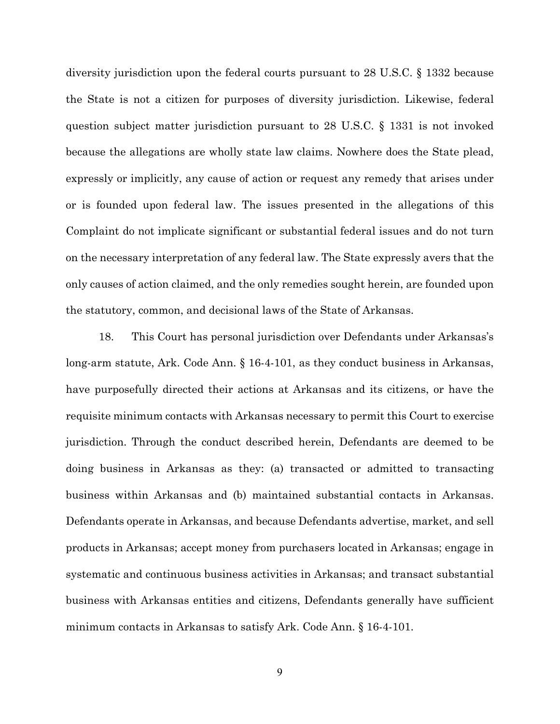diversity jurisdiction upon the federal courts pursuant to 28 U.S.C. § 1332 because the State is not a citizen for purposes of diversity jurisdiction. Likewise, federal question subject matter jurisdiction pursuant to 28 U.S.C. § 1331 is not invoked because the allegations are wholly state law claims. Nowhere does the State plead, expressly or implicitly, any cause of action or request any remedy that arises under or is founded upon federal law. The issues presented in the allegations of this Complaint do not implicate significant or substantial federal issues and do not turn on the necessary interpretation of any federal law. The State expressly avers that the only causes of action claimed, and the only remedies sought herein, are founded upon the statutory, common, and decisional laws of the State of Arkansas.

18. This Court has personal jurisdiction over Defendants under Arkansas's long-arm statute, Ark. Code Ann. § 16-4-101, as they conduct business in Arkansas, have purposefully directed their actions at Arkansas and its citizens, or have the requisite minimum contacts with Arkansas necessary to permit this Court to exercise jurisdiction. Through the conduct described herein, Defendants are deemed to be doing business in Arkansas as they: (a) transacted or admitted to transacting business within Arkansas and (b) maintained substantial contacts in Arkansas. Defendants operate in Arkansas, and because Defendants advertise, market, and sell products in Arkansas; accept money from purchasers located in Arkansas; engage in systematic and continuous business activities in Arkansas; and transact substantial business with Arkansas entities and citizens, Defendants generally have sufficient minimum contacts in Arkansas to satisfy Ark. Code Ann. § 16-4-101.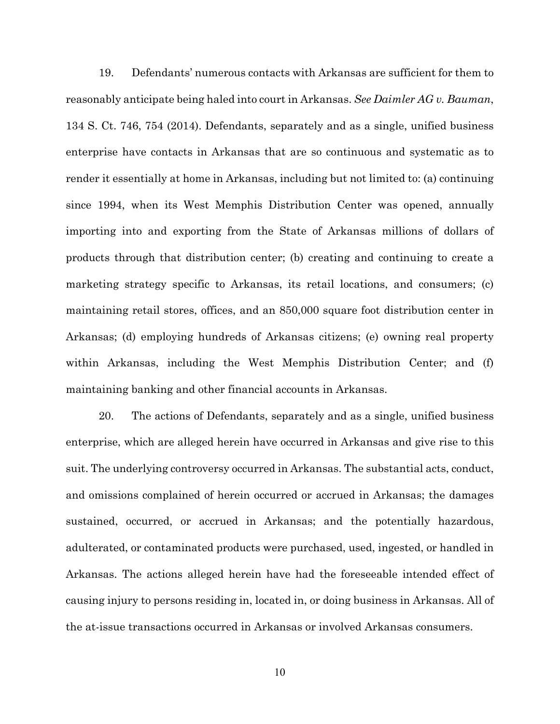19. Defendants' numerous contacts with Arkansas are sufficient for them to reasonably anticipate being haled into court in Arkansas. *See Daimler AG v. Bauman*, 134 S. Ct. 746, 754 (2014). Defendants, separately and as a single, unified business enterprise have contacts in Arkansas that are so continuous and systematic as to render it essentially at home in Arkansas, including but not limited to: (a) continuing since 1994, when its West Memphis Distribution Center was opened, annually importing into and exporting from the State of Arkansas millions of dollars of products through that distribution center; (b) creating and continuing to create a marketing strategy specific to Arkansas, its retail locations, and consumers; (c) maintaining retail stores, offices, and an 850,000 square foot distribution center in Arkansas; (d) employing hundreds of Arkansas citizens; (e) owning real property within Arkansas, including the West Memphis Distribution Center; and (f) maintaining banking and other financial accounts in Arkansas.

20. The actions of Defendants, separately and as a single, unified business enterprise, which are alleged herein have occurred in Arkansas and give rise to this suit. The underlying controversy occurred in Arkansas. The substantial acts, conduct, and omissions complained of herein occurred or accrued in Arkansas; the damages sustained, occurred, or accrued in Arkansas; and the potentially hazardous, adulterated, or contaminated products were purchased, used, ingested, or handled in Arkansas. The actions alleged herein have had the foreseeable intended effect of causing injury to persons residing in, located in, or doing business in Arkansas. All of the at-issue transactions occurred in Arkansas or involved Arkansas consumers.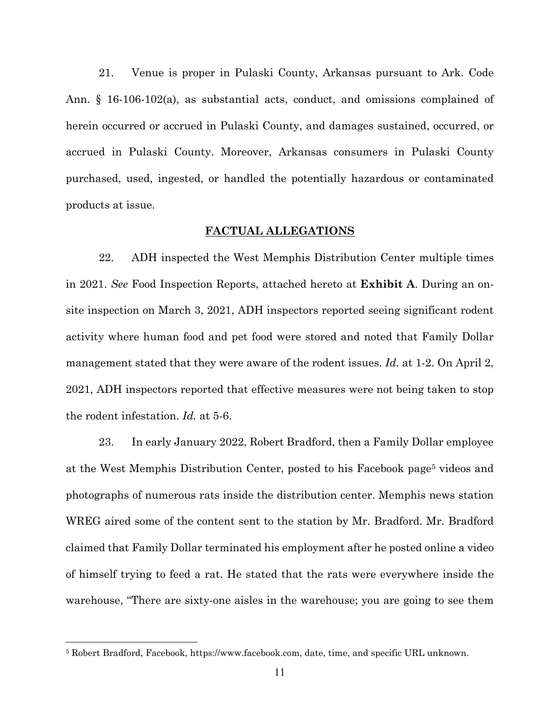21. Venue is proper in Pulaski County, Arkansas pursuant to Ark. Code Ann. § 16-106-102(a), as substantial acts, conduct, and omissions complained of herein occurred or accrued in Pulaski County, and damages sustained, occurred, or accrued in Pulaski County. Moreover, Arkansas consumers in Pulaski County purchased, used, ingested, or handled the potentially hazardous or contaminated products at issue.

## **FACTUAL ALLEGATIONS**

22. ADH inspected the West Memphis Distribution Center multiple times in 2021. *See* Food Inspection Reports, attached hereto at **Exhibit A**. During an onsite inspection on March 3, 2021, ADH inspectors reported seeing significant rodent activity where human food and pet food were stored and noted that Family Dollar management stated that they were aware of the rodent issues. *Id.* at 1-2. On April 2, 2021, ADH inspectors reported that effective measures were not being taken to stop the rodent infestation. *Id.* at 5-6.

23. In early January 2022, Robert Bradford, then a Family Dollar employee at the West Memphis Distribution Center, posted to his Facebook page5 videos and photographs of numerous rats inside the distribution center. Memphis news station WREG aired some of the content sent to the station by Mr. Bradford. Mr. Bradford claimed that Family Dollar terminated his employment after he posted online a video of himself trying to feed a rat. He stated that the rats were everywhere inside the warehouse, "There are sixty-one aisles in the warehouse; you are going to see them

<sup>5</sup> Robert Bradford, Facebook, https://www.facebook.com, date, time, and specific URL unknown.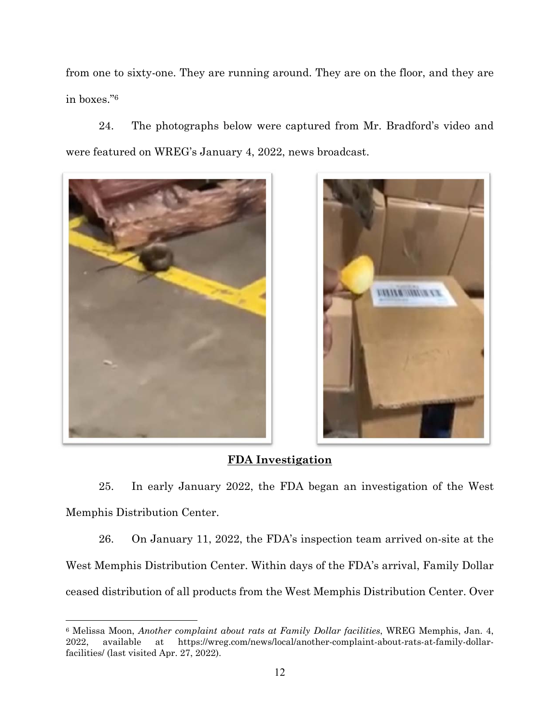from one to sixty-one. They are running around. They are on the floor, and they are in boxes."6

24. The photographs below were captured from Mr. Bradford's video and were featured on WREG's January 4, 2022, news broadcast.





# **FDA Investigation**

25. In early January 2022, the FDA began an investigation of the West Memphis Distribution Center.

26. On January 11, 2022, the FDA's inspection team arrived on-site at the West Memphis Distribution Center. Within days of the FDA's arrival, Family Dollar ceased distribution of all products from the West Memphis Distribution Center. Over

<sup>6</sup> Melissa Moon, *Another complaint about rats at Family Dollar facilities*, WREG Memphis, Jan. 4, 2022, available at https://wreg.com/news/local/another-complaint-about-rats-at-family-dollarfacilities/ (last visited Apr. 27, 2022).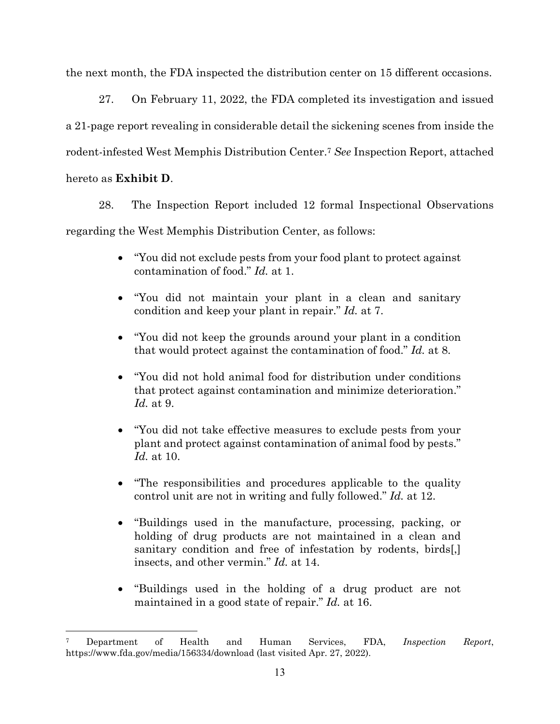the next month, the FDA inspected the distribution center on 15 different occasions.

27. On February 11, 2022, the FDA completed its investigation and issued a 21-page report revealing in considerable detail the sickening scenes from inside the rodent-infested West Memphis Distribution Center.7 *See* Inspection Report, attached

hereto as **Exhibit D**.

28. The Inspection Report included 12 formal Inspectional Observations

regarding the West Memphis Distribution Center, as follows:

- "You did not exclude pests from your food plant to protect against contamination of food." *Id.* at 1.
- "You did not maintain your plant in a clean and sanitary condition and keep your plant in repair." *Id.* at 7.
- "You did not keep the grounds around your plant in a condition that would protect against the contamination of food." *Id.* at 8.
- "You did not hold animal food for distribution under conditions that protect against contamination and minimize deterioration." *Id.* at 9.
- "You did not take effective measures to exclude pests from your plant and protect against contamination of animal food by pests." *Id.* at 10.
- "The responsibilities and procedures applicable to the quality control unit are not in writing and fully followed." *Id.* at 12.
- "Buildings used in the manufacture, processing, packing, or holding of drug products are not maintained in a clean and sanitary condition and free of infestation by rodents, birds[,] insects, and other vermin." *Id.* at 14.
- "Buildings used in the holding of a drug product are not maintained in a good state of repair." *Id.* at 16.

<sup>7</sup> Department of Health and Human Services, FDA, *Inspection Report*, https://www.fda.gov/media/156334/download (last visited Apr. 27, 2022).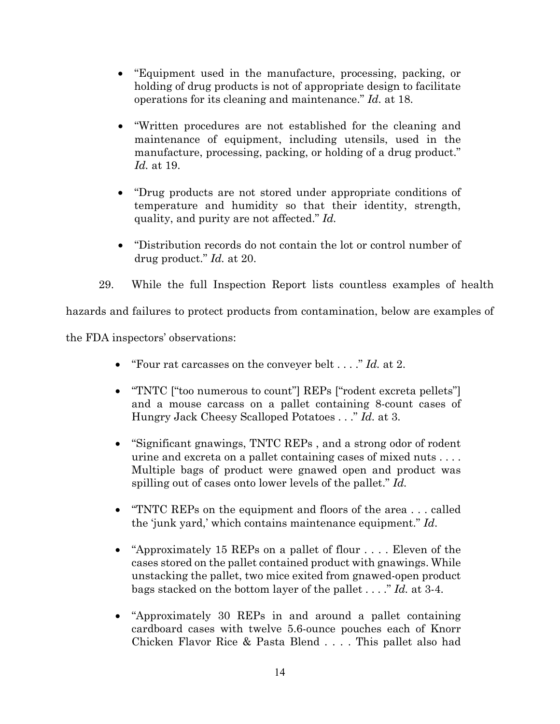- "Equipment used in the manufacture, processing, packing, or holding of drug products is not of appropriate design to facilitate operations for its cleaning and maintenance." *Id.* at 18.
- "Written procedures are not established for the cleaning and maintenance of equipment, including utensils, used in the manufacture, processing, packing, or holding of a drug product." *Id.* at 19.
- "Drug products are not stored under appropriate conditions of temperature and humidity so that their identity, strength, quality, and purity are not affected." *Id.*
- "Distribution records do not contain the lot or control number of drug product." *Id.* at 20.
- 29. While the full Inspection Report lists countless examples of health

hazards and failures to protect products from contamination, below are examples of

the FDA inspectors' observations:

- "Four rat carcasses on the conveyer belt . . . ." *Id.* at 2.
- "TNTC ["too numerous to count"] REPs ["rodent excreta pellets"] and a mouse carcass on a pallet containing 8-count cases of Hungry Jack Cheesy Scalloped Potatoes . . ." *Id.* at 3.
- "Significant gnawings, TNTC REPs , and a strong odor of rodent urine and excreta on a pallet containing cases of mixed nuts . . . . Multiple bags of product were gnawed open and product was spilling out of cases onto lower levels of the pallet." *Id.*
- "TNTC REPs on the equipment and floors of the area . . . called the 'junk yard,' which contains maintenance equipment." *Id*.
- "Approximately 15 REPs on a pallet of flour . . . . Eleven of the cases stored on the pallet contained product with gnawings. While unstacking the pallet, two mice exited from gnawed-open product bags stacked on the bottom layer of the pallet . . . ." *Id.* at 3-4.
- "Approximately 30 REPs in and around a pallet containing cardboard cases with twelve 5.6-ounce pouches each of Knorr Chicken Flavor Rice & Pasta Blend . . . . This pallet also had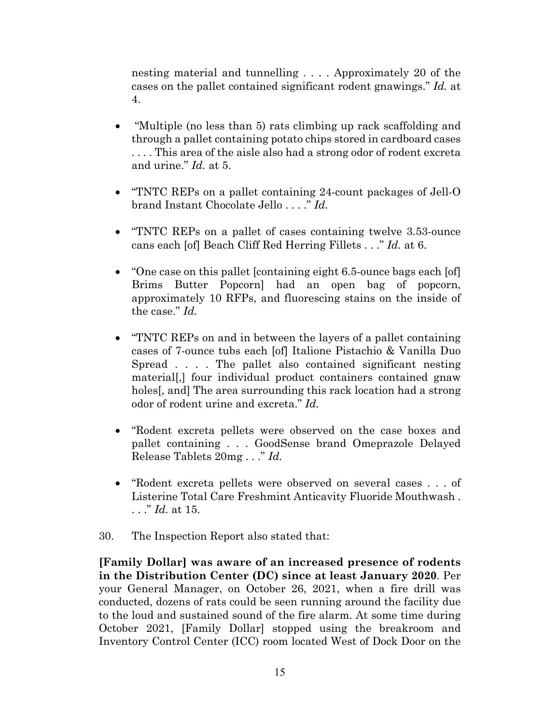nesting material and tunnelling . . . . Approximately 20 of the cases on the pallet contained significant rodent gnawings." *Id.* at 4.

- "Multiple (no less than 5) rats climbing up rack scaffolding and through a pallet containing potato chips stored in cardboard cases . . . . This area of the aisle also had a strong odor of rodent excreta and urine." *Id.* at 5.
- "TNTC REPs on a pallet containing 24-count packages of Jell-O brand Instant Chocolate Jello . . . ." *Id.*
- "TNTC REPs on a pallet of cases containing twelve 3.53-ounce cans each [of] Beach Cliff Red Herring Fillets . . ." *Id.* at 6.
- "One case on this pallet [containing eight 6.5-ounce bags each [of] Brims Butter Popcorn] had an open bag of popcorn, approximately 10 RFPs, and fluorescing stains on the inside of the case." *Id.*
- "TNTC REPs on and in between the layers of a pallet containing cases of 7-ounce tubs each [of] Italione Pistachio & Vanilla Duo Spread . . . . The pallet also contained significant nesting material[,] four individual product containers contained gnaw holes, and The area surrounding this rack location had a strong odor of rodent urine and excreta." *Id.*
- "Rodent excreta pellets were observed on the case boxes and pallet containing . . . GoodSense brand Omeprazole Delayed Release Tablets 20mg . . ." *Id.*
- "Rodent excreta pellets were observed on several cases . . . of Listerine Total Care Freshmint Anticavity Fluoride Mouthwash . . . ." *Id.* at 15.
- 30. The Inspection Report also stated that:

**[Family Dollar] was aware of an increased presence of rodents in the Distribution Center (DC) since at least January 2020**. Per your General Manager, on October 26, 2021, when a fire drill was conducted, dozens of rats could be seen running around the facility due to the loud and sustained sound of the fire alarm. At some time during October 2021, [Family Dollar] stopped using the breakroom and Inventory Control Center (ICC) room located West of Dock Door on the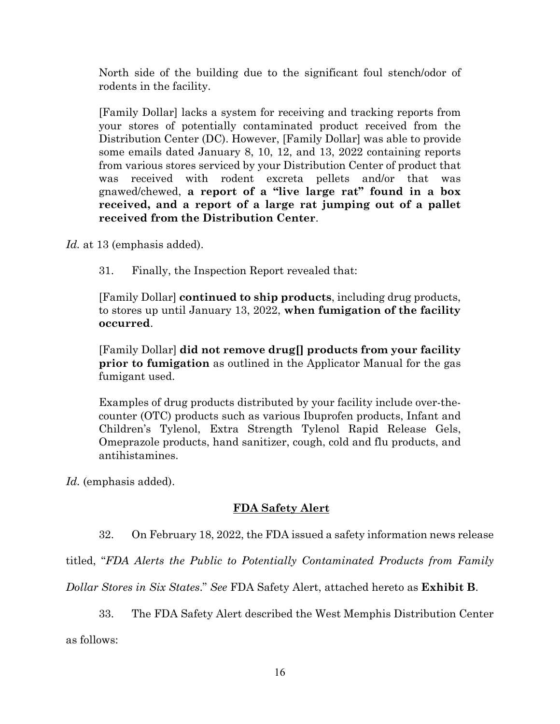North side of the building due to the significant foul stench/odor of rodents in the facility.

[Family Dollar] lacks a system for receiving and tracking reports from your stores of potentially contaminated product received from the Distribution Center (DC). However, [Family Dollar] was able to provide some emails dated January 8, 10, 12, and 13, 2022 containing reports from various stores serviced by your Distribution Center of product that was received with rodent excreta pellets and/or that was gnawed/chewed, **a report of a "live large rat" found in a box received, and a report of a large rat jumping out of a pallet received from the Distribution Center**.

*Id.* at 13 (emphasis added).

31. Finally, the Inspection Report revealed that:

[Family Dollar] **continued to ship products**, including drug products, to stores up until January 13, 2022, **when fumigation of the facility occurred**.

[Family Dollar] **did not remove drug[] products from your facility prior to fumigation** as outlined in the Applicator Manual for the gas fumigant used.

Examples of drug products distributed by your facility include over-thecounter (OTC) products such as various Ibuprofen products, Infant and Children's Tylenol, Extra Strength Tylenol Rapid Release Gels, Omeprazole products, hand sanitizer, cough, cold and flu products, and antihistamines.

Id. (emphasis added).

# **FDA Safety Alert**

32. On February 18, 2022, the FDA issued a safety information news release

titled, "*FDA Alerts the Public to Potentially Contaminated Products from Family* 

*Dollar Stores in Six States*." *See* FDA Safety Alert, attached hereto as **Exhibit B**.

33. The FDA Safety Alert described the West Memphis Distribution Center

as follows: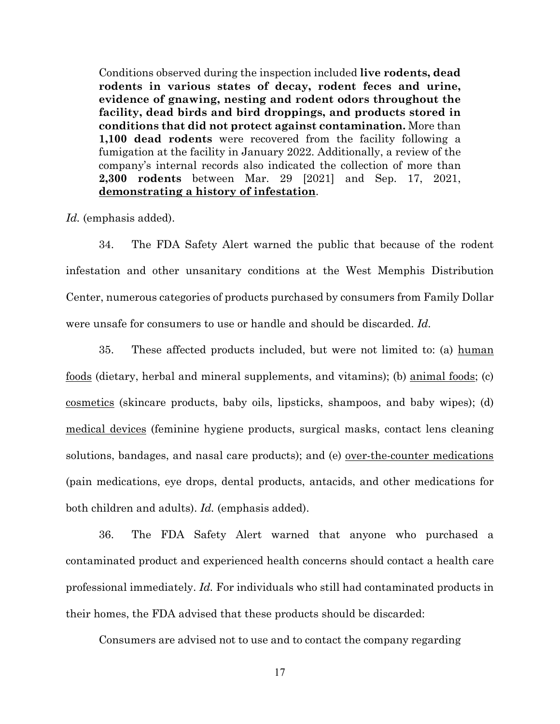Conditions observed during the inspection included **live rodents, dead rodents in various states of decay, rodent feces and urine, evidence of gnawing, nesting and rodent odors throughout the facility, dead birds and bird droppings, and products stored in conditions that did not protect against contamination.** More than **1,100 dead rodents** were recovered from the facility following a fumigation at the facility in January 2022. Additionally, a review of the company's internal records also indicated the collection of more than **2,300 rodents** between Mar. 29 [2021] and Sep. 17, 2021, **demonstrating a history of infestation**.

*Id.* (emphasis added).

34. The FDA Safety Alert warned the public that because of the rodent infestation and other unsanitary conditions at the West Memphis Distribution Center, numerous categories of products purchased by consumers from Family Dollar were unsafe for consumers to use or handle and should be discarded. *Id.*

35. These affected products included, but were not limited to: (a) human foods (dietary, herbal and mineral supplements, and vitamins); (b) animal foods; (c) cosmetics (skincare products, baby oils, lipsticks, shampoos, and baby wipes); (d) medical devices (feminine hygiene products, surgical masks, contact lens cleaning solutions, bandages, and nasal care products); and (e) over-the-counter medications (pain medications, eye drops, dental products, antacids, and other medications for both children and adults). *Id.* (emphasis added).

36. The FDA Safety Alert warned that anyone who purchased a contaminated product and experienced health concerns should contact a health care professional immediately. *Id.* For individuals who still had contaminated products in their homes, the FDA advised that these products should be discarded:

Consumers are advised not to use and to contact the company regarding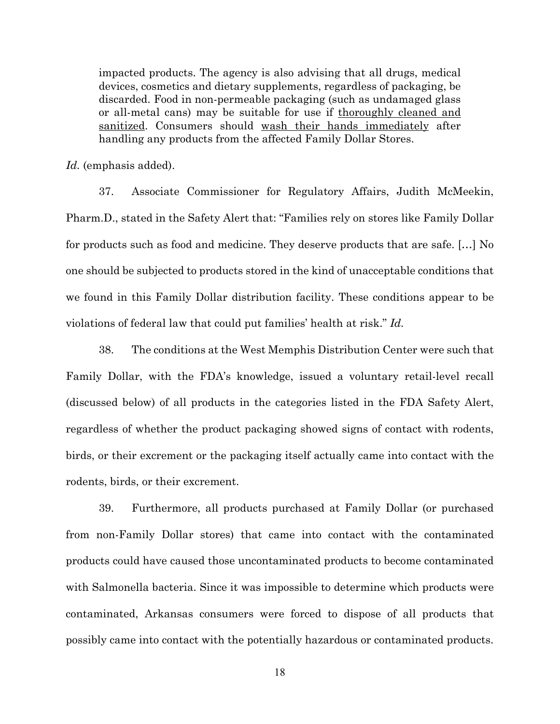impacted products. The agency is also advising that all drugs, medical devices, cosmetics and dietary supplements, regardless of packaging, be discarded. Food in non-permeable packaging (such as undamaged glass or all-metal cans) may be suitable for use if thoroughly cleaned and sanitized. Consumers should wash their hands immediately after handling any products from the affected Family Dollar Stores.

Id. (emphasis added).

37. Associate Commissioner for Regulatory Affairs, Judith McMeekin, Pharm.D., stated in the Safety Alert that: "Families rely on stores like Family Dollar for products such as food and medicine. They deserve products that are safe. […] No one should be subjected to products stored in the kind of unacceptable conditions that we found in this Family Dollar distribution facility. These conditions appear to be violations of federal law that could put families' health at risk." *Id.*

38. The conditions at the West Memphis Distribution Center were such that Family Dollar, with the FDA's knowledge, issued a voluntary retail-level recall (discussed below) of all products in the categories listed in the FDA Safety Alert, regardless of whether the product packaging showed signs of contact with rodents, birds, or their excrement or the packaging itself actually came into contact with the rodents, birds, or their excrement.

39. Furthermore, all products purchased at Family Dollar (or purchased from non-Family Dollar stores) that came into contact with the contaminated products could have caused those uncontaminated products to become contaminated with Salmonella bacteria. Since it was impossible to determine which products were contaminated, Arkansas consumers were forced to dispose of all products that possibly came into contact with the potentially hazardous or contaminated products.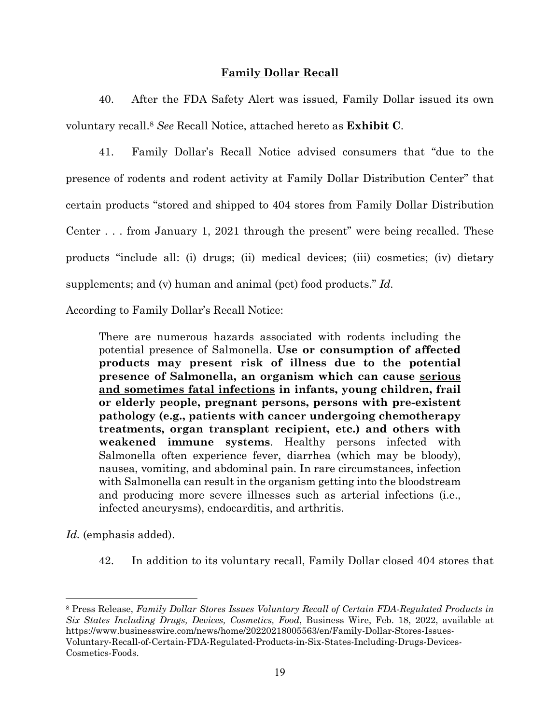# **Family Dollar Recall**

40. After the FDA Safety Alert was issued, Family Dollar issued its own voluntary recall.8 *See* Recall Notice, attached hereto as **Exhibit C**.

41. Family Dollar's Recall Notice advised consumers that "due to the presence of rodents and rodent activity at Family Dollar Distribution Center" that certain products "stored and shipped to 404 stores from Family Dollar Distribution Center . . . from January 1, 2021 through the present" were being recalled. These products "include all: (i) drugs; (ii) medical devices; (iii) cosmetics; (iv) dietary supplements; and (v) human and animal (pet) food products." *Id.*

According to Family Dollar's Recall Notice:

There are numerous hazards associated with rodents including the potential presence of Salmonella. **Use or consumption of affected products may present risk of illness due to the potential presence of Salmonella, an organism which can cause serious and sometimes fatal infections in infants, young children, frail or elderly people, pregnant persons, persons with pre-existent pathology (e.g., patients with cancer undergoing chemotherapy treatments, organ transplant recipient, etc.) and others with weakened immune systems**. Healthy persons infected with Salmonella often experience fever, diarrhea (which may be bloody), nausea, vomiting, and abdominal pain. In rare circumstances, infection with Salmonella can result in the organism getting into the bloodstream and producing more severe illnesses such as arterial infections (i.e., infected aneurysms), endocarditis, and arthritis.

*Id.* (emphasis added).

42. In addition to its voluntary recall, Family Dollar closed 404 stores that

8 Press Release, *Family Dollar Stores Issues Voluntary Recall of Certain FDA-Regulated Products in Six States Including Drugs, Devices, Cosmetics, Food*, Business Wire, Feb. 18, 2022, available at https://www.businesswire.com/news/home/20220218005563/en/Family-Dollar-Stores-Issues-Voluntary-Recall-of-Certain-FDA-Regulated-Products-in-Six-States-Including-Drugs-Devices-Cosmetics-Foods.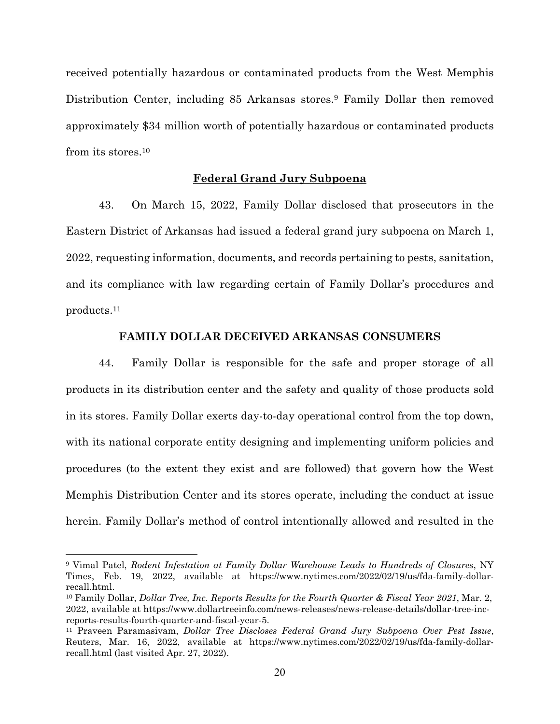received potentially hazardous or contaminated products from the West Memphis Distribution Center, including 85 Arkansas stores.9 Family Dollar then removed approximately \$34 million worth of potentially hazardous or contaminated products from its stores.10

## **Federal Grand Jury Subpoena**

43. On March 15, 2022, Family Dollar disclosed that prosecutors in the Eastern District of Arkansas had issued a federal grand jury subpoena on March 1, 2022, requesting information, documents, and records pertaining to pests, sanitation, and its compliance with law regarding certain of Family Dollar's procedures and products.11

## **FAMILY DOLLAR DECEIVED ARKANSAS CONSUMERS**

44. Family Dollar is responsible for the safe and proper storage of all products in its distribution center and the safety and quality of those products sold in its stores. Family Dollar exerts day-to-day operational control from the top down, with its national corporate entity designing and implementing uniform policies and procedures (to the extent they exist and are followed) that govern how the West Memphis Distribution Center and its stores operate, including the conduct at issue herein. Family Dollar's method of control intentionally allowed and resulted in the

<sup>9</sup> Vimal Patel, *Rodent Infestation at Family Dollar Warehouse Leads to Hundreds of Closures*, NY Times, Feb. 19, 2022, available at https://www.nytimes.com/2022/02/19/us/fda-family-dollarrecall.html.

<sup>10</sup> Family Dollar, *Dollar Tree, Inc. Reports Results for the Fourth Quarter & Fiscal Year 2021*, Mar. 2, 2022, available at https://www.dollartreeinfo.com/news-releases/news-release-details/dollar-tree-increports-results-fourth-quarter-and-fiscal-year-5. 11 Praveen Paramasivam, *Dollar Tree Discloses Federal Grand Jury Subpoena Over Pest Issue*,

Reuters, Mar. 16, 2022, available at https://www.nytimes.com/2022/02/19/us/fda-family-dollarrecall.html (last visited Apr. 27, 2022).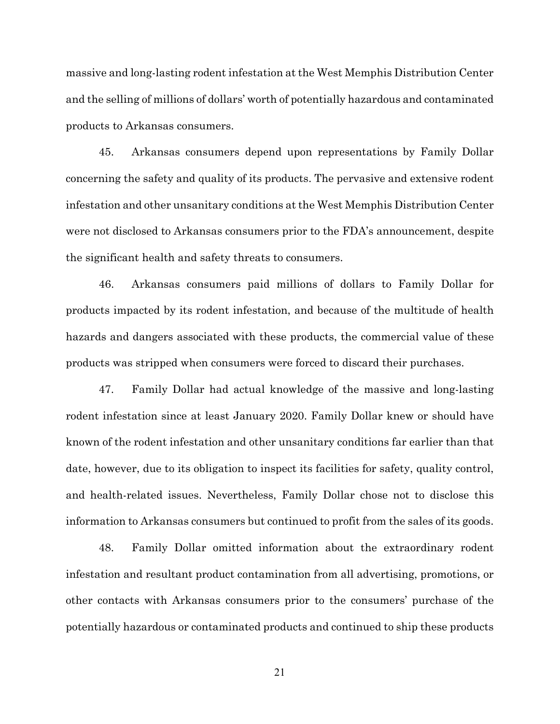massive and long-lasting rodent infestation at the West Memphis Distribution Center and the selling of millions of dollars' worth of potentially hazardous and contaminated products to Arkansas consumers.

45. Arkansas consumers depend upon representations by Family Dollar concerning the safety and quality of its products. The pervasive and extensive rodent infestation and other unsanitary conditions at the West Memphis Distribution Center were not disclosed to Arkansas consumers prior to the FDA's announcement, despite the significant health and safety threats to consumers.

46. Arkansas consumers paid millions of dollars to Family Dollar for products impacted by its rodent infestation, and because of the multitude of health hazards and dangers associated with these products, the commercial value of these products was stripped when consumers were forced to discard their purchases.

47. Family Dollar had actual knowledge of the massive and long-lasting rodent infestation since at least January 2020. Family Dollar knew or should have known of the rodent infestation and other unsanitary conditions far earlier than that date, however, due to its obligation to inspect its facilities for safety, quality control, and health-related issues. Nevertheless, Family Dollar chose not to disclose this information to Arkansas consumers but continued to profit from the sales of its goods.

48. Family Dollar omitted information about the extraordinary rodent infestation and resultant product contamination from all advertising, promotions, or other contacts with Arkansas consumers prior to the consumers' purchase of the potentially hazardous or contaminated products and continued to ship these products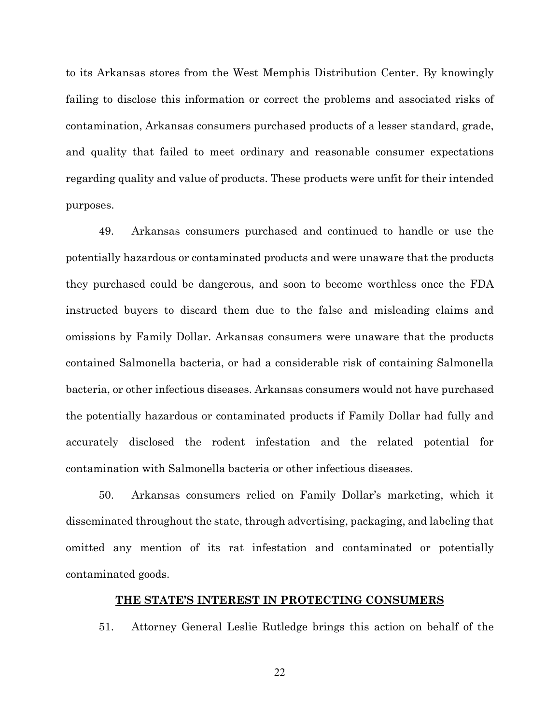to its Arkansas stores from the West Memphis Distribution Center. By knowingly failing to disclose this information or correct the problems and associated risks of contamination, Arkansas consumers purchased products of a lesser standard, grade, and quality that failed to meet ordinary and reasonable consumer expectations regarding quality and value of products. These products were unfit for their intended purposes.

49. Arkansas consumers purchased and continued to handle or use the potentially hazardous or contaminated products and were unaware that the products they purchased could be dangerous, and soon to become worthless once the FDA instructed buyers to discard them due to the false and misleading claims and omissions by Family Dollar. Arkansas consumers were unaware that the products contained Salmonella bacteria, or had a considerable risk of containing Salmonella bacteria, or other infectious diseases. Arkansas consumers would not have purchased the potentially hazardous or contaminated products if Family Dollar had fully and accurately disclosed the rodent infestation and the related potential for contamination with Salmonella bacteria or other infectious diseases.

50. Arkansas consumers relied on Family Dollar's marketing, which it disseminated throughout the state, through advertising, packaging, and labeling that omitted any mention of its rat infestation and contaminated or potentially contaminated goods.

## **THE STATE'S INTEREST IN PROTECTING CONSUMERS**

51. Attorney General Leslie Rutledge brings this action on behalf of the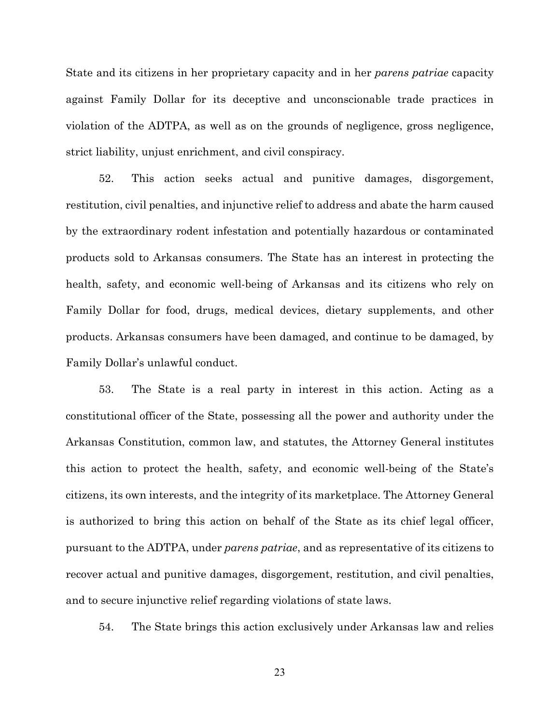State and its citizens in her proprietary capacity and in her *parens patriae* capacity against Family Dollar for its deceptive and unconscionable trade practices in violation of the ADTPA, as well as on the grounds of negligence, gross negligence, strict liability, unjust enrichment, and civil conspiracy.

52. This action seeks actual and punitive damages, disgorgement, restitution, civil penalties, and injunctive relief to address and abate the harm caused by the extraordinary rodent infestation and potentially hazardous or contaminated products sold to Arkansas consumers. The State has an interest in protecting the health, safety, and economic well-being of Arkansas and its citizens who rely on Family Dollar for food, drugs, medical devices, dietary supplements, and other products. Arkansas consumers have been damaged, and continue to be damaged, by Family Dollar's unlawful conduct.

53. The State is a real party in interest in this action. Acting as a constitutional officer of the State, possessing all the power and authority under the Arkansas Constitution, common law, and statutes, the Attorney General institutes this action to protect the health, safety, and economic well-being of the State's citizens, its own interests, and the integrity of its marketplace. The Attorney General is authorized to bring this action on behalf of the State as its chief legal officer, pursuant to the ADTPA, under *parens patriae*, and as representative of its citizens to recover actual and punitive damages, disgorgement, restitution, and civil penalties, and to secure injunctive relief regarding violations of state laws.

54. The State brings this action exclusively under Arkansas law and relies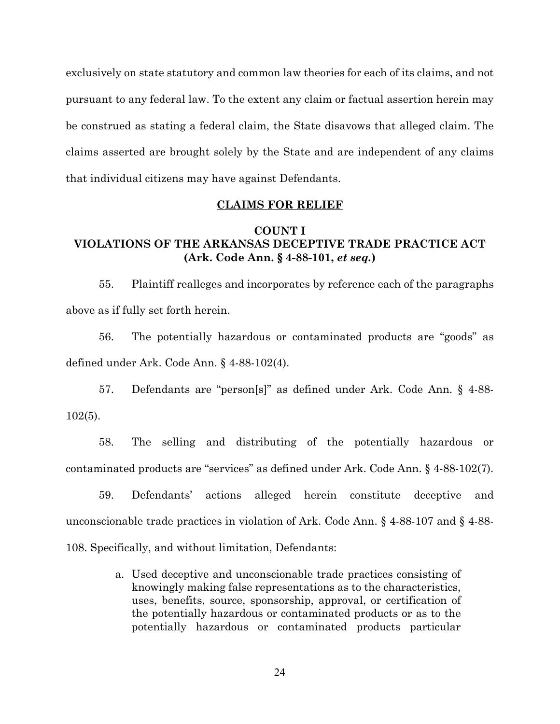exclusively on state statutory and common law theories for each of its claims, and not pursuant to any federal law. To the extent any claim or factual assertion herein may be construed as stating a federal claim, the State disavows that alleged claim. The claims asserted are brought solely by the State and are independent of any claims that individual citizens may have against Defendants.

### **CLAIMS FOR RELIEF**

# **COUNT I VIOLATIONS OF THE ARKANSAS DECEPTIVE TRADE PRACTICE ACT (Ark. Code Ann. § 4-88-101,** *et seq.***)**

55. Plaintiff realleges and incorporates by reference each of the paragraphs above as if fully set forth herein.

56. The potentially hazardous or contaminated products are "goods" as defined under Ark. Code Ann. § 4-88-102(4).

57. Defendants are "person[s]" as defined under Ark. Code Ann. § 4-88- 102(5).

58. The selling and distributing of the potentially hazardous or contaminated products are "services" as defined under Ark. Code Ann. § 4-88-102(7).

59. Defendants' actions alleged herein constitute deceptive and unconscionable trade practices in violation of Ark. Code Ann. § 4-88-107 and § 4-88- 108. Specifically, and without limitation, Defendants:

> a. Used deceptive and unconscionable trade practices consisting of knowingly making false representations as to the characteristics, uses, benefits, source, sponsorship, approval, or certification of the potentially hazardous or contaminated products or as to the potentially hazardous or contaminated products particular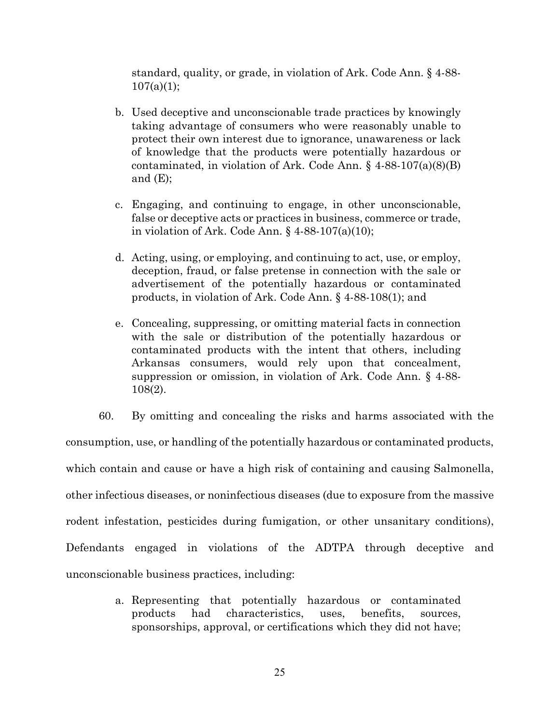standard, quality, or grade, in violation of Ark. Code Ann. § 4-88-  $107(a)(1);$ 

- b. Used deceptive and unconscionable trade practices by knowingly taking advantage of consumers who were reasonably unable to protect their own interest due to ignorance, unawareness or lack of knowledge that the products were potentially hazardous or contaminated, in violation of Ark. Code Ann. § 4-88-107(a)(8)(B) and  $(E)$ ;
- c. Engaging, and continuing to engage, in other unconscionable, false or deceptive acts or practices in business, commerce or trade, in violation of Ark. Code Ann.  $\S$  4-88-107(a)(10);
- d. Acting, using, or employing, and continuing to act, use, or employ, deception, fraud, or false pretense in connection with the sale or advertisement of the potentially hazardous or contaminated products, in violation of Ark. Code Ann. § 4-88-108(1); and
- e. Concealing, suppressing, or omitting material facts in connection with the sale or distribution of the potentially hazardous or contaminated products with the intent that others, including Arkansas consumers, would rely upon that concealment, suppression or omission, in violation of Ark. Code Ann. § 4-88- 108(2).

60. By omitting and concealing the risks and harms associated with the consumption, use, or handling of the potentially hazardous or contaminated products, which contain and cause or have a high risk of containing and causing Salmonella, other infectious diseases, or noninfectious diseases (due to exposure from the massive rodent infestation, pesticides during fumigation, or other unsanitary conditions), Defendants engaged in violations of the ADTPA through deceptive and unconscionable business practices, including:

> a. Representing that potentially hazardous or contaminated products had characteristics, uses, benefits, sources, sponsorships, approval, or certifications which they did not have;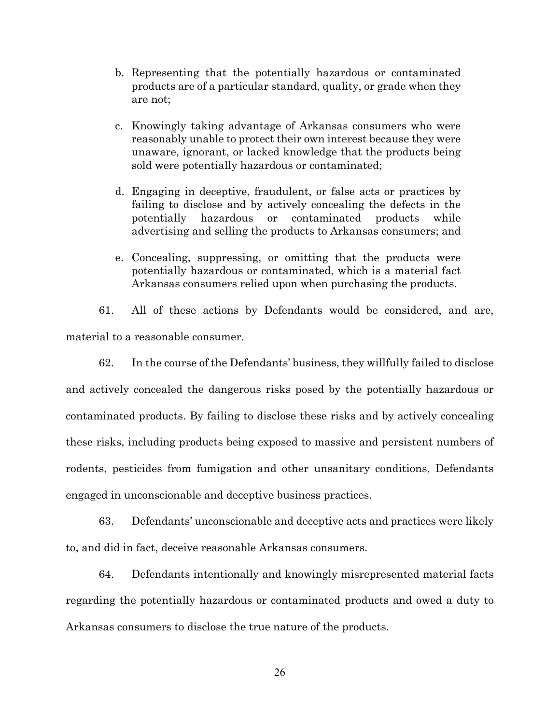- b. Representing that the potentially hazardous or contaminated products are of a particular standard, quality, or grade when they are not;
- c. Knowingly taking advantage of Arkansas consumers who were reasonably unable to protect their own interest because they were unaware, ignorant, or lacked knowledge that the products being sold were potentially hazardous or contaminated;
- d. Engaging in deceptive, fraudulent, or false acts or practices by failing to disclose and by actively concealing the defects in the potentially hazardous or contaminated products while advertising and selling the products to Arkansas consumers; and
- e. Concealing, suppressing, or omitting that the products were potentially hazardous or contaminated, which is a material fact Arkansas consumers relied upon when purchasing the products.

61. All of these actions by Defendants would be considered, and are, material to a reasonable consumer.

62. In the course of the Defendants' business, they willfully failed to disclose and actively concealed the dangerous risks posed by the potentially hazardous or contaminated products. By failing to disclose these risks and by actively concealing these risks, including products being exposed to massive and persistent numbers of rodents, pesticides from fumigation and other unsanitary conditions, Defendants engaged in unconscionable and deceptive business practices.

63. Defendants' unconscionable and deceptive acts and practices were likely to, and did in fact, deceive reasonable Arkansas consumers.

64. Defendants intentionally and knowingly misrepresented material facts regarding the potentially hazardous or contaminated products and owed a duty to Arkansas consumers to disclose the true nature of the products.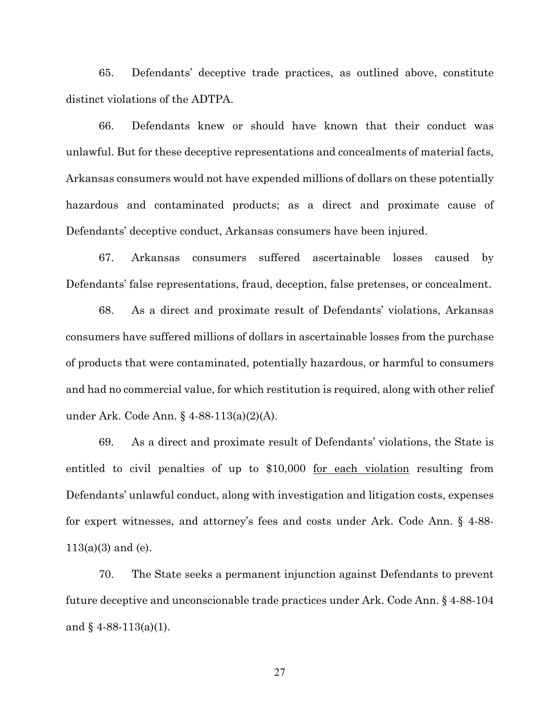65. Defendants' deceptive trade practices, as outlined above, constitute distinct violations of the ADTPA.

66. Defendants knew or should have known that their conduct was unlawful. But for these deceptive representations and concealments of material facts, Arkansas consumers would not have expended millions of dollars on these potentially hazardous and contaminated products; as a direct and proximate cause of Defendants' deceptive conduct, Arkansas consumers have been injured.

67. Arkansas consumers suffered ascertainable losses caused by Defendants' false representations, fraud, deception, false pretenses, or concealment.

68. As a direct and proximate result of Defendants' violations, Arkansas consumers have suffered millions of dollars in ascertainable losses from the purchase of products that were contaminated, potentially hazardous, or harmful to consumers and had no commercial value, for which restitution is required, along with other relief under Ark. Code Ann. § 4-88-113(a)(2)(A).

69. As a direct and proximate result of Defendants' violations, the State is entitled to civil penalties of up to \$10,000 for each violation resulting from Defendants' unlawful conduct, along with investigation and litigation costs, expenses for expert witnesses, and attorney's fees and costs under Ark. Code Ann. § 4-88-  $113(a)(3)$  and (e).

70. The State seeks a permanent injunction against Defendants to prevent future deceptive and unconscionable trade practices under Ark. Code Ann. § 4-88-104 and  $§$  4-88-113(a)(1).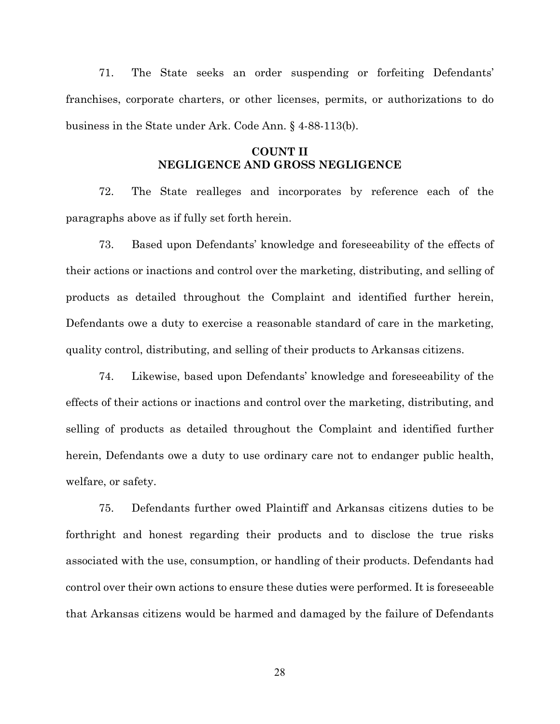71. The State seeks an order suspending or forfeiting Defendants' franchises, corporate charters, or other licenses, permits, or authorizations to do business in the State under Ark. Code Ann. § 4-88-113(b).

# **COUNT II NEGLIGENCE AND GROSS NEGLIGENCE**

72. The State realleges and incorporates by reference each of the paragraphs above as if fully set forth herein.

73. Based upon Defendants' knowledge and foreseeability of the effects of their actions or inactions and control over the marketing, distributing, and selling of products as detailed throughout the Complaint and identified further herein, Defendants owe a duty to exercise a reasonable standard of care in the marketing, quality control, distributing, and selling of their products to Arkansas citizens.

74. Likewise, based upon Defendants' knowledge and foreseeability of the effects of their actions or inactions and control over the marketing, distributing, and selling of products as detailed throughout the Complaint and identified further herein, Defendants owe a duty to use ordinary care not to endanger public health, welfare, or safety.

75. Defendants further owed Plaintiff and Arkansas citizens duties to be forthright and honest regarding their products and to disclose the true risks associated with the use, consumption, or handling of their products. Defendants had control over their own actions to ensure these duties were performed. It is foreseeable that Arkansas citizens would be harmed and damaged by the failure of Defendants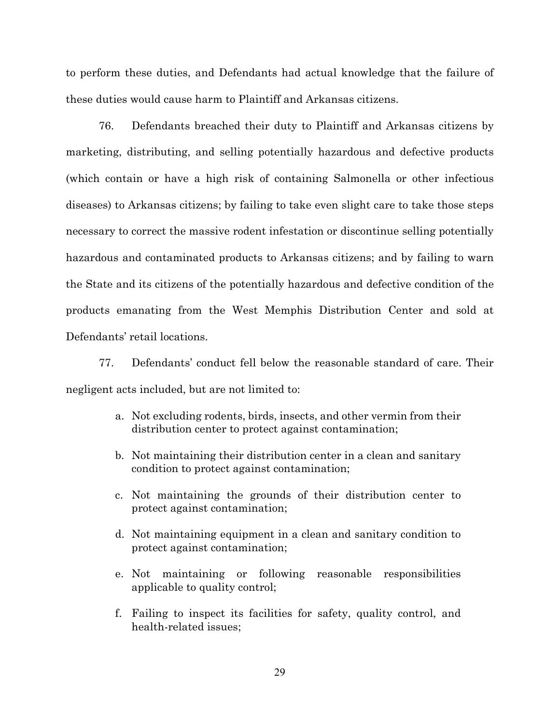to perform these duties, and Defendants had actual knowledge that the failure of these duties would cause harm to Plaintiff and Arkansas citizens.

76. Defendants breached their duty to Plaintiff and Arkansas citizens by marketing, distributing, and selling potentially hazardous and defective products (which contain or have a high risk of containing Salmonella or other infectious diseases) to Arkansas citizens; by failing to take even slight care to take those steps necessary to correct the massive rodent infestation or discontinue selling potentially hazardous and contaminated products to Arkansas citizens; and by failing to warn the State and its citizens of the potentially hazardous and defective condition of the products emanating from the West Memphis Distribution Center and sold at Defendants' retail locations.

77. Defendants' conduct fell below the reasonable standard of care. Their negligent acts included, but are not limited to:

- a. Not excluding rodents, birds, insects, and other vermin from their distribution center to protect against contamination;
- b. Not maintaining their distribution center in a clean and sanitary condition to protect against contamination;
- c. Not maintaining the grounds of their distribution center to protect against contamination;
- d. Not maintaining equipment in a clean and sanitary condition to protect against contamination;
- e. Not maintaining or following reasonable responsibilities applicable to quality control;
- f. Failing to inspect its facilities for safety, quality control, and health-related issues;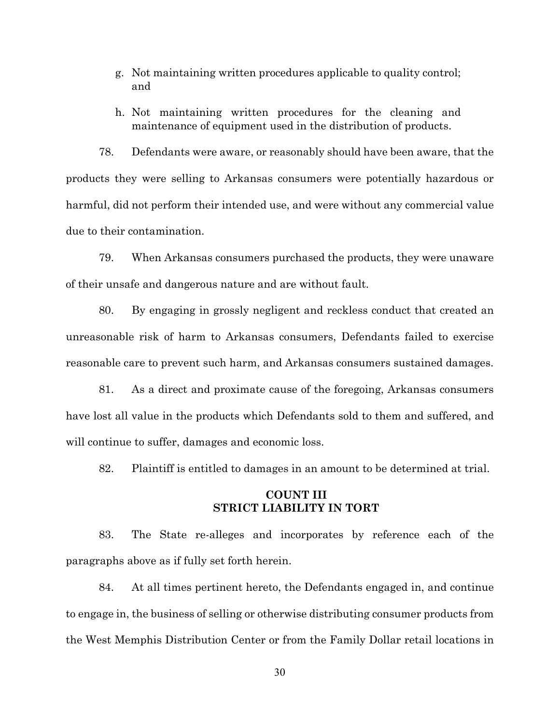- g. Not maintaining written procedures applicable to quality control; and
- h. Not maintaining written procedures for the cleaning and maintenance of equipment used in the distribution of products.

78. Defendants were aware, or reasonably should have been aware, that the products they were selling to Arkansas consumers were potentially hazardous or harmful, did not perform their intended use, and were without any commercial value due to their contamination.

79. When Arkansas consumers purchased the products, they were unaware of their unsafe and dangerous nature and are without fault.

80. By engaging in grossly negligent and reckless conduct that created an unreasonable risk of harm to Arkansas consumers, Defendants failed to exercise reasonable care to prevent such harm, and Arkansas consumers sustained damages.

81. As a direct and proximate cause of the foregoing, Arkansas consumers have lost all value in the products which Defendants sold to them and suffered, and will continue to suffer, damages and economic loss.

82. Plaintiff is entitled to damages in an amount to be determined at trial.

## **COUNT III STRICT LIABILITY IN TORT**

83. The State re-alleges and incorporates by reference each of the paragraphs above as if fully set forth herein.

84. At all times pertinent hereto, the Defendants engaged in, and continue to engage in, the business of selling or otherwise distributing consumer products from the West Memphis Distribution Center or from the Family Dollar retail locations in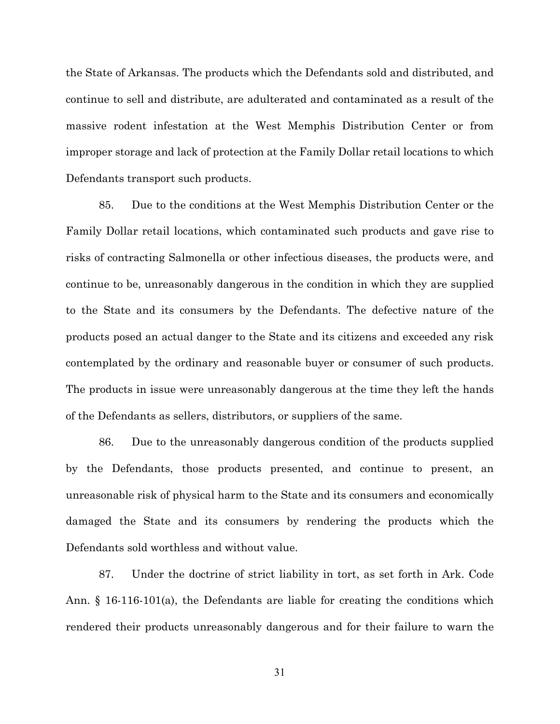the State of Arkansas. The products which the Defendants sold and distributed, and continue to sell and distribute, are adulterated and contaminated as a result of the massive rodent infestation at the West Memphis Distribution Center or from improper storage and lack of protection at the Family Dollar retail locations to which Defendants transport such products.

85. Due to the conditions at the West Memphis Distribution Center or the Family Dollar retail locations, which contaminated such products and gave rise to risks of contracting Salmonella or other infectious diseases, the products were, and continue to be, unreasonably dangerous in the condition in which they are supplied to the State and its consumers by the Defendants. The defective nature of the products posed an actual danger to the State and its citizens and exceeded any risk contemplated by the ordinary and reasonable buyer or consumer of such products. The products in issue were unreasonably dangerous at the time they left the hands of the Defendants as sellers, distributors, or suppliers of the same.

86. Due to the unreasonably dangerous condition of the products supplied by the Defendants, those products presented, and continue to present, an unreasonable risk of physical harm to the State and its consumers and economically damaged the State and its consumers by rendering the products which the Defendants sold worthless and without value.

87. Under the doctrine of strict liability in tort, as set forth in Ark. Code Ann. § 16-116-101(a), the Defendants are liable for creating the conditions which rendered their products unreasonably dangerous and for their failure to warn the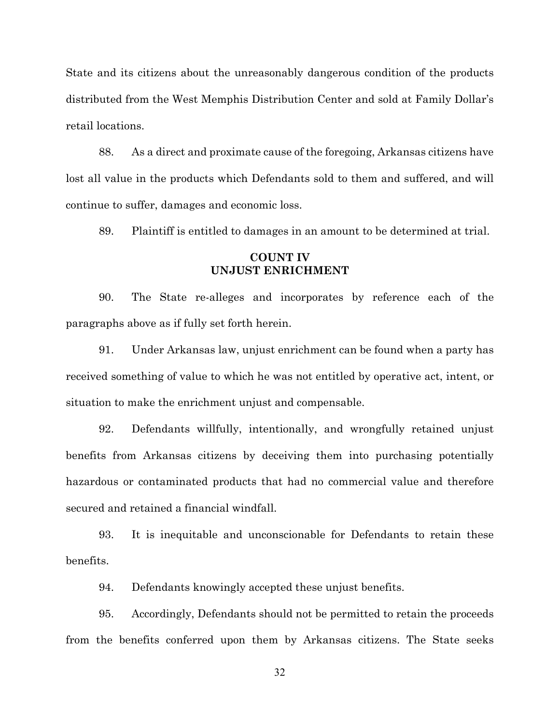State and its citizens about the unreasonably dangerous condition of the products distributed from the West Memphis Distribution Center and sold at Family Dollar's retail locations.

88. As a direct and proximate cause of the foregoing, Arkansas citizens have lost all value in the products which Defendants sold to them and suffered, and will continue to suffer, damages and economic loss.

89. Plaintiff is entitled to damages in an amount to be determined at trial.

## **COUNT IV UNJUST ENRICHMENT**

90. The State re-alleges and incorporates by reference each of the paragraphs above as if fully set forth herein.

91. Under Arkansas law, unjust enrichment can be found when a party has received something of value to which he was not entitled by operative act, intent, or situation to make the enrichment unjust and compensable.

92. Defendants willfully, intentionally, and wrongfully retained unjust benefits from Arkansas citizens by deceiving them into purchasing potentially hazardous or contaminated products that had no commercial value and therefore secured and retained a financial windfall.

93. It is inequitable and unconscionable for Defendants to retain these benefits.

94. Defendants knowingly accepted these unjust benefits.

95. Accordingly, Defendants should not be permitted to retain the proceeds from the benefits conferred upon them by Arkansas citizens. The State seeks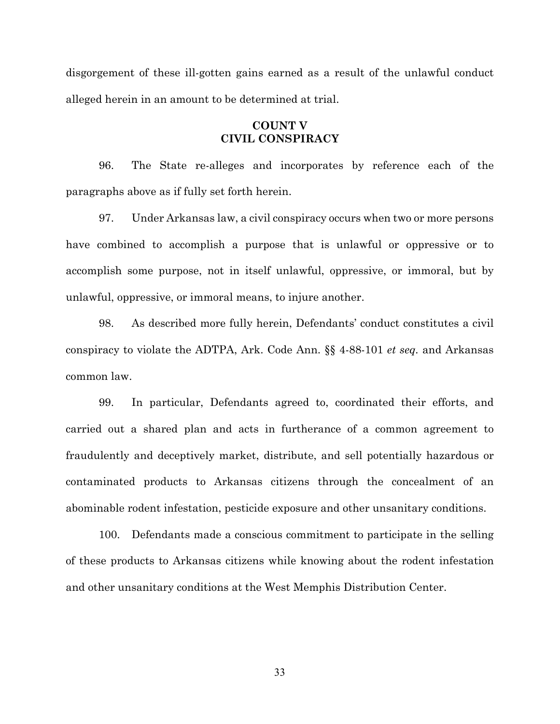disgorgement of these ill-gotten gains earned as a result of the unlawful conduct alleged herein in an amount to be determined at trial.

# **COUNT V CIVIL CONSPIRACY**

96. The State re-alleges and incorporates by reference each of the paragraphs above as if fully set forth herein.

97. Under Arkansas law, a civil conspiracy occurs when two or more persons have combined to accomplish a purpose that is unlawful or oppressive or to accomplish some purpose, not in itself unlawful, oppressive, or immoral, but by unlawful, oppressive, or immoral means, to injure another.

98. As described more fully herein, Defendants' conduct constitutes a civil conspiracy to violate the ADTPA, Ark. Code Ann. §§ 4-88-101 *et seq.* and Arkansas common law.

99. In particular, Defendants agreed to, coordinated their efforts, and carried out a shared plan and acts in furtherance of a common agreement to fraudulently and deceptively market, distribute, and sell potentially hazardous or contaminated products to Arkansas citizens through the concealment of an abominable rodent infestation, pesticide exposure and other unsanitary conditions.

100. Defendants made a conscious commitment to participate in the selling of these products to Arkansas citizens while knowing about the rodent infestation and other unsanitary conditions at the West Memphis Distribution Center.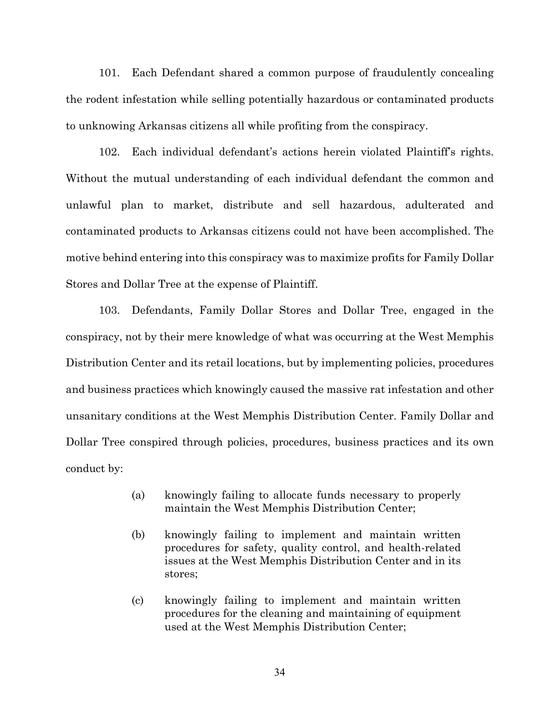101. Each Defendant shared a common purpose of fraudulently concealing the rodent infestation while selling potentially hazardous or contaminated products to unknowing Arkansas citizens all while profiting from the conspiracy.

102. Each individual defendant's actions herein violated Plaintiff's rights. Without the mutual understanding of each individual defendant the common and unlawful plan to market, distribute and sell hazardous, adulterated and contaminated products to Arkansas citizens could not have been accomplished. The motive behind entering into this conspiracy was to maximize profits for Family Dollar Stores and Dollar Tree at the expense of Plaintiff.

103. Defendants, Family Dollar Stores and Dollar Tree, engaged in the conspiracy, not by their mere knowledge of what was occurring at the West Memphis Distribution Center and its retail locations, but by implementing policies, procedures and business practices which knowingly caused the massive rat infestation and other unsanitary conditions at the West Memphis Distribution Center. Family Dollar and Dollar Tree conspired through policies, procedures, business practices and its own conduct by:

- (a) knowingly failing to allocate funds necessary to properly maintain the West Memphis Distribution Center;
- (b) knowingly failing to implement and maintain written procedures for safety, quality control, and health-related issues at the West Memphis Distribution Center and in its stores;
- (c) knowingly failing to implement and maintain written procedures for the cleaning and maintaining of equipment used at the West Memphis Distribution Center;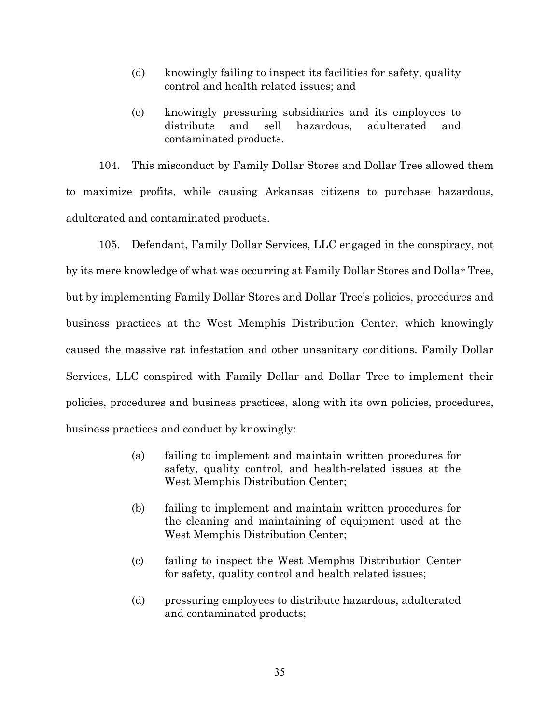- (d) knowingly failing to inspect its facilities for safety, quality control and health related issues; and
- (e) knowingly pressuring subsidiaries and its employees to distribute and sell hazardous, adulterated and contaminated products.

104. This misconduct by Family Dollar Stores and Dollar Tree allowed them to maximize profits, while causing Arkansas citizens to purchase hazardous, adulterated and contaminated products.

105. Defendant, Family Dollar Services, LLC engaged in the conspiracy, not by its mere knowledge of what was occurring at Family Dollar Stores and Dollar Tree, but by implementing Family Dollar Stores and Dollar Tree's policies, procedures and business practices at the West Memphis Distribution Center, which knowingly caused the massive rat infestation and other unsanitary conditions. Family Dollar Services, LLC conspired with Family Dollar and Dollar Tree to implement their policies, procedures and business practices, along with its own policies, procedures, business practices and conduct by knowingly:

- (a) failing to implement and maintain written procedures for safety, quality control, and health-related issues at the West Memphis Distribution Center;
- (b) failing to implement and maintain written procedures for the cleaning and maintaining of equipment used at the West Memphis Distribution Center;
- (c) failing to inspect the West Memphis Distribution Center for safety, quality control and health related issues;
- (d) pressuring employees to distribute hazardous, adulterated and contaminated products;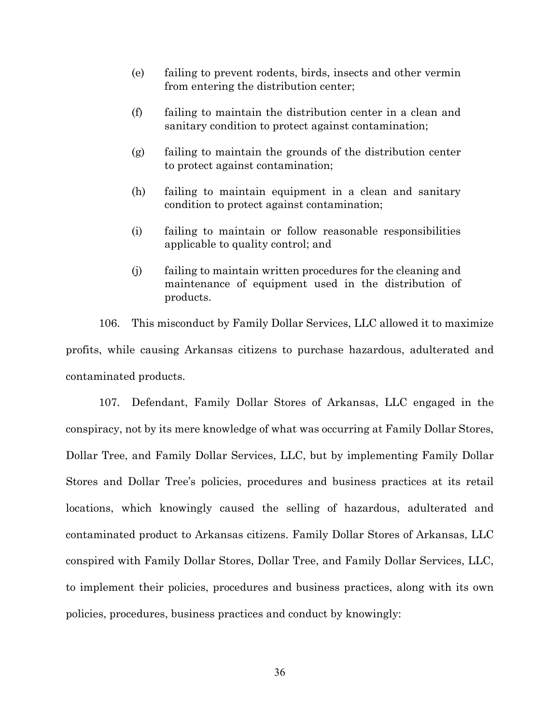- (e) failing to prevent rodents, birds, insects and other vermin from entering the distribution center;
- (f) failing to maintain the distribution center in a clean and sanitary condition to protect against contamination;
- (g) failing to maintain the grounds of the distribution center to protect against contamination;
- (h) failing to maintain equipment in a clean and sanitary condition to protect against contamination;
- (i) failing to maintain or follow reasonable responsibilities applicable to quality control; and
- (j) failing to maintain written procedures for the cleaning and maintenance of equipment used in the distribution of products.

106. This misconduct by Family Dollar Services, LLC allowed it to maximize profits, while causing Arkansas citizens to purchase hazardous, adulterated and contaminated products.

107. Defendant, Family Dollar Stores of Arkansas, LLC engaged in the conspiracy, not by its mere knowledge of what was occurring at Family Dollar Stores, Dollar Tree, and Family Dollar Services, LLC, but by implementing Family Dollar Stores and Dollar Tree's policies, procedures and business practices at its retail locations, which knowingly caused the selling of hazardous, adulterated and contaminated product to Arkansas citizens. Family Dollar Stores of Arkansas, LLC conspired with Family Dollar Stores, Dollar Tree, and Family Dollar Services, LLC, to implement their policies, procedures and business practices, along with its own policies, procedures, business practices and conduct by knowingly: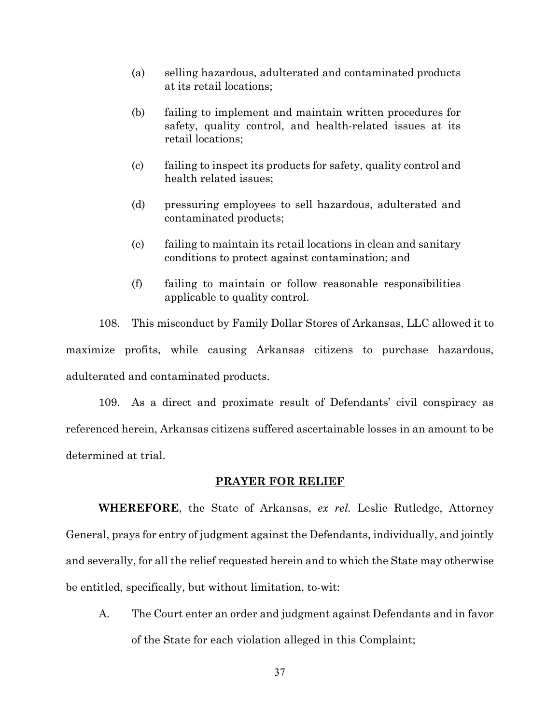- (a) selling hazardous, adulterated and contaminated products at its retail locations;
- (b) failing to implement and maintain written procedures for safety, quality control, and health-related issues at its retail locations;
- (c) failing to inspect its products for safety, quality control and health related issues;
- (d) pressuring employees to sell hazardous, adulterated and contaminated products;
- (e) failing to maintain its retail locations in clean and sanitary conditions to protect against contamination; and
- (f) failing to maintain or follow reasonable responsibilities applicable to quality control.

108. This misconduct by Family Dollar Stores of Arkansas, LLC allowed it to maximize profits, while causing Arkansas citizens to purchase hazardous, adulterated and contaminated products.

109. As a direct and proximate result of Defendants' civil conspiracy as referenced herein, Arkansas citizens suffered ascertainable losses in an amount to be determined at trial.

### **PRAYER FOR RELIEF**

**WHEREFORE**, the State of Arkansas, *ex rel.* Leslie Rutledge, Attorney General, prays for entry of judgment against the Defendants, individually, and jointly and severally, for all the relief requested herein and to which the State may otherwise be entitled, specifically, but without limitation, to-wit:

A. The Court enter an order and judgment against Defendants and in favor of the State for each violation alleged in this Complaint;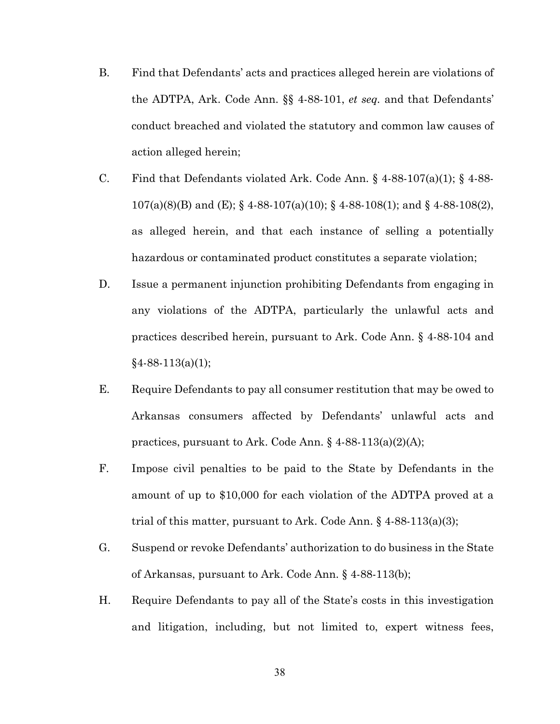- B. Find that Defendants' acts and practices alleged herein are violations of the ADTPA, Ark. Code Ann. §§ 4-88-101, *et seq.* and that Defendants' conduct breached and violated the statutory and common law causes of action alleged herein;
- C. Find that Defendants violated Ark. Code Ann.  $\S$  4-88-107(a)(1);  $\S$  4-88-107(a)(8)(B) and (E); § 4-88-107(a)(10); § 4-88-108(1); and § 4-88-108(2), as alleged herein, and that each instance of selling a potentially hazardous or contaminated product constitutes a separate violation;
- D. Issue a permanent injunction prohibiting Defendants from engaging in any violations of the ADTPA, particularly the unlawful acts and practices described herein, pursuant to Ark. Code Ann. § 4-88-104 and  $§4-88-113(a)(1);$
- E. Require Defendants to pay all consumer restitution that may be owed to Arkansas consumers affected by Defendants' unlawful acts and practices, pursuant to Ark. Code Ann.  $\S$  4-88-113(a)(2)(A);
- F. Impose civil penalties to be paid to the State by Defendants in the amount of up to \$10,000 for each violation of the ADTPA proved at a trial of this matter, pursuant to Ark. Code Ann. § 4-88-113(a)(3);
- G. Suspend or revoke Defendants' authorization to do business in the State of Arkansas, pursuant to Ark. Code Ann. § 4-88-113(b);
- H. Require Defendants to pay all of the State's costs in this investigation and litigation, including, but not limited to, expert witness fees,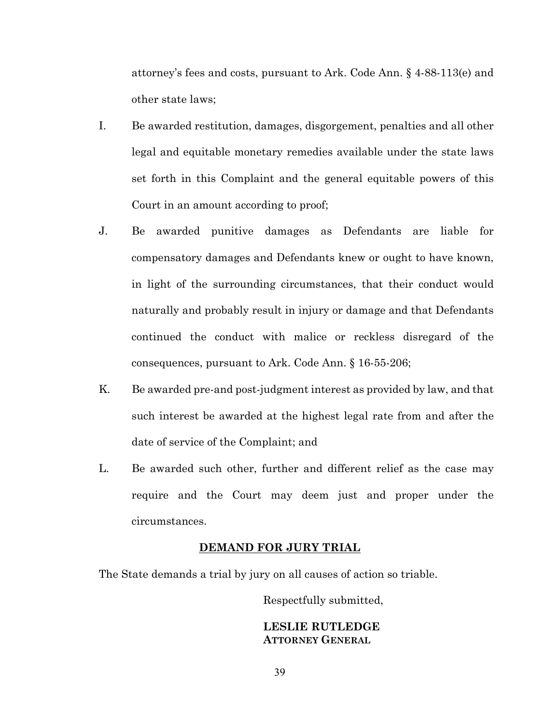attorney's fees and costs, pursuant to Ark. Code Ann. § 4-88-113(e) and other state laws;

- I. Be awarded restitution, damages, disgorgement, penalties and all other legal and equitable monetary remedies available under the state laws set forth in this Complaint and the general equitable powers of this Court in an amount according to proof;
- J. Be awarded punitive damages as Defendants are liable for compensatory damages and Defendants knew or ought to have known, in light of the surrounding circumstances, that their conduct would naturally and probably result in injury or damage and that Defendants continued the conduct with malice or reckless disregard of the consequences, pursuant to Ark. Code Ann. § 16-55-206;
- K. Be awarded pre-and post-judgment interest as provided by law, and that such interest be awarded at the highest legal rate from and after the date of service of the Complaint; and
- L. Be awarded such other, further and different relief as the case may require and the Court may deem just and proper under the circumstances.

## **DEMAND FOR JURY TRIAL**

The State demands a trial by jury on all causes of action so triable.

Respectfully submitted,

# **LESLIE RUTLEDGE ATTORNEY GENERAL**